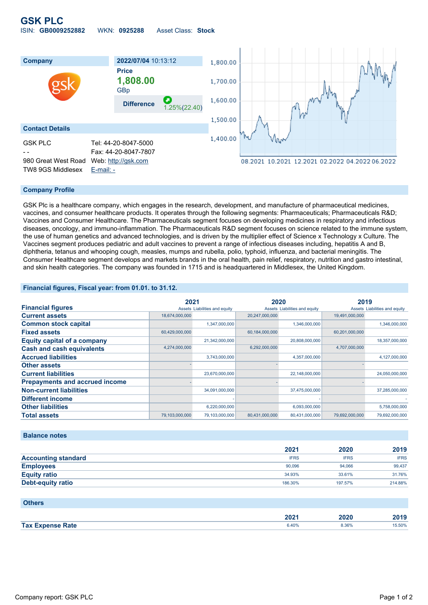## **GSK PLC** ISIN: **GB0009252882** WKN: **0925288** Asset Class: **Stock**



## **Company Profile**

GSK Plc is a healthcare company, which engages in the research, development, and manufacture of pharmaceutical medicines, vaccines, and consumer healthcare products. It operates through the following segments: Pharmaceuticals; Pharmaceuticals R&D; Vaccines and Consumer Healthcare. The Pharmaceuticals segment focuses on developing medicines in respiratory and infectious diseases, oncology, and immuno-inflammation. The Pharmaceuticals R&D segment focuses on science related to the immune system, the use of human genetics and advanced technologies, and is driven by the multiplier effect of Science x Technology x Culture. The Vaccines segment produces pediatric and adult vaccines to prevent a range of infectious diseases including, hepatitis A and B, diphtheria, tetanus and whooping cough, measles, mumps and rubella, polio, typhoid, influenza, and bacterial meningitis. The Consumer Healthcare segment develops and markets brands in the oral health, pain relief, respiratory, nutrition and gastro intestinal, and skin health categories. The company was founded in 1715 and is headquartered in Middlesex, the United Kingdom.

### **Financial figures, Fiscal year: from 01.01. to 31.12.**

|                                       | 2021           |                               | 2020           |                               | 2019           |                               |
|---------------------------------------|----------------|-------------------------------|----------------|-------------------------------|----------------|-------------------------------|
| <b>Financial figures</b>              |                | Assets Liabilities and equity |                | Assets Liabilities and equity |                | Assets Liabilities and equity |
| <b>Current assets</b>                 | 18,674,000,000 |                               | 20,247,000,000 |                               | 19,491,000,000 |                               |
| <b>Common stock capital</b>           |                | 1,347,000,000                 |                | 1,346,000,000                 |                | 1,346,000,000                 |
| <b>Fixed assets</b>                   | 60,429,000,000 |                               | 60,184,000,000 |                               | 60,201,000,000 |                               |
| <b>Equity capital of a company</b>    |                | 21,342,000,000                |                | 20,808,000,000                |                | 18,357,000,000                |
| <b>Cash and cash equivalents</b>      | 4,274,000,000  |                               | 6,292,000,000  |                               | 4,707,000,000  |                               |
| <b>Accrued liabilities</b>            |                | 3,743,000,000                 |                | 4,357,000,000                 |                | 4,127,000,000                 |
| <b>Other assets</b>                   |                |                               |                |                               |                |                               |
| <b>Current liabilities</b>            |                | 23,670,000,000                |                | 22,148,000,000                |                | 24,050,000,000                |
| <b>Prepayments and accrued income</b> |                |                               |                |                               |                |                               |
| <b>Non-current liabilities</b>        |                | 34,091,000,000                |                | 37,475,000,000                |                | 37,285,000,000                |
| <b>Different income</b>               |                |                               |                |                               |                |                               |
| <b>Other liabilities</b>              |                | 6,220,000,000                 |                | 6,093,000,000                 |                | 5,758,000,000                 |
| <b>Total assets</b>                   | 79,103,000,000 | 79,103,000,000                | 80,431,000,000 | 80,431,000,000                | 79,692,000,000 | 79,692,000,000                |

### **Balance notes**

|                            | 2021        | 2020        | 2019        |
|----------------------------|-------------|-------------|-------------|
| <b>Accounting standard</b> | <b>IFRS</b> | <b>IFRS</b> | <b>IFRS</b> |
| <b>Employees</b>           | 90.096      | 94.066      | 99.437      |
| <b>Equity ratio</b>        | 34.93%      | 33.61%      | 31.76%      |
| Debt-equity ratio          | 186.30%     | 197.57%     | 214.88%     |

#### **Others**

|                           | nnn.<br>ZVZ I | ----<br>יהי<br>2020<br>$   -$ | 20 I J |
|---------------------------|---------------|-------------------------------|--------|
| <b>Tax</b><br><b>Pate</b> | 6.40%         | 8.36%                         | 15.50% |